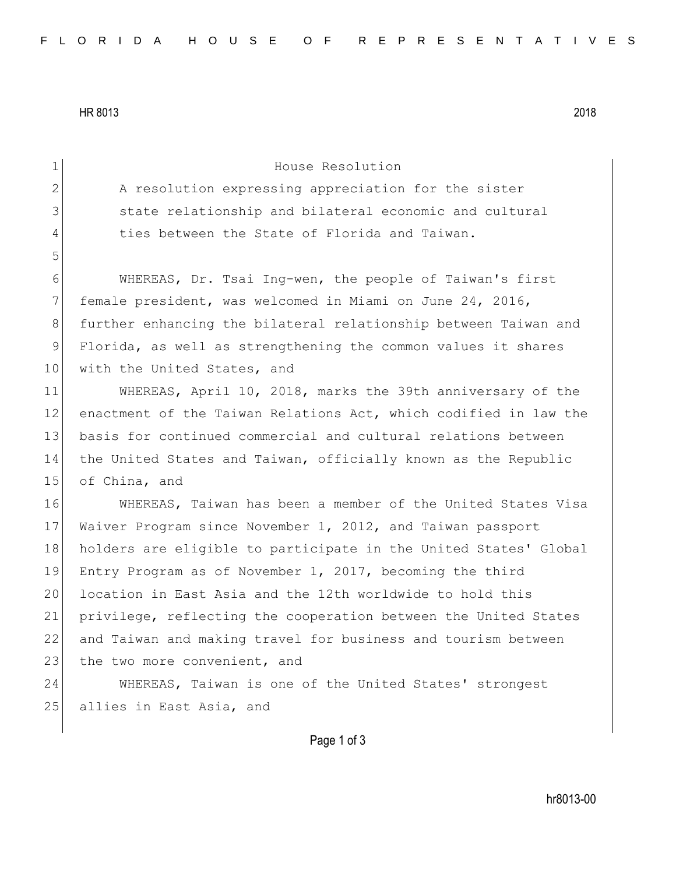HR 8013 2018

1 House Resolution 2 A resolution expressing appreciation for the sister 3 3 state relationship and bilateral economic and cultural 4 ties between the State of Florida and Taiwan. 5 6 WHEREAS, Dr. Tsai Ing-wen, the people of Taiwan's first 7 female president, was welcomed in Miami on June 24, 2016, 8 further enhancing the bilateral relationship between Taiwan and 9 Florida, as well as strengthening the common values it shares 10 | with the United States, and 11 WHEREAS, April 10, 2018, marks the 39th anniversary of the 12 enactment of the Taiwan Relations Act, which codified in law the 13 basis for continued commercial and cultural relations between 14 the United States and Taiwan, officially known as the Republic 15 of China, and 16 WHEREAS, Taiwan has been a member of the United States Visa 17 Waiver Program since November 1, 2012, and Taiwan passport 18 holders are eligible to participate in the United States' Global 19 Entry Program as of November 1, 2017, becoming the third 20 location in East Asia and the 12th worldwide to hold this 21 privilege, reflecting the cooperation between the United States 22 and Taiwan and making travel for business and tourism between 23 the two more convenient, and 24 WHEREAS, Taiwan is one of the United States' strongest 25 allies in East Asia, and

Page 1 of 3

hr8013-00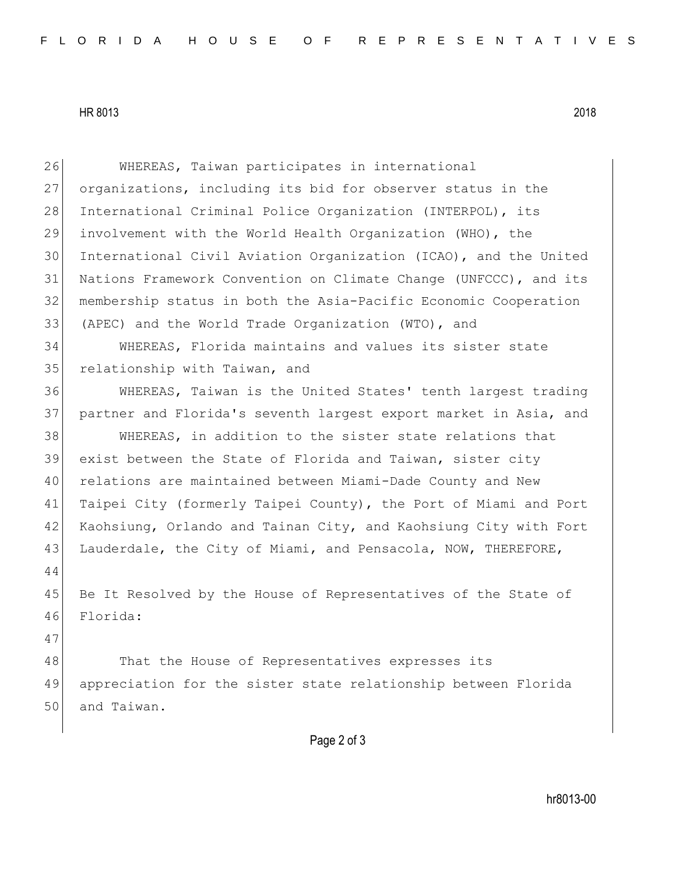## HR 8013 2018

| 26 | WHEREAS, Taiwan participates in international                    |
|----|------------------------------------------------------------------|
| 27 | organizations, including its bid for observer status in the      |
| 28 | International Criminal Police Organization (INTERPOL), its       |
| 29 | involvement with the World Health Organization (WHO), the        |
| 30 | International Civil Aviation Organization (ICAO), and the United |
| 31 | Nations Framework Convention on Climate Change (UNFCCC), and its |
| 32 | membership status in both the Asia-Pacific Economic Cooperation  |
| 33 | (APEC) and the World Trade Organization (WTO), and               |
| 34 | WHEREAS, Florida maintains and values its sister state           |
| 35 | relationship with Taiwan, and                                    |
| 36 | WHEREAS, Taiwan is the United States' tenth largest trading      |
| 37 | partner and Florida's seventh largest export market in Asia, and |
| 38 | WHEREAS, in addition to the sister state relations that          |
| 39 | exist between the State of Florida and Taiwan, sister city       |
| 40 | relations are maintained between Miami-Dade County and New       |
| 41 | Taipei City (formerly Taipei County), the Port of Miami and Port |
| 42 | Kaohsiung, Orlando and Tainan City, and Kaohsiung City with Fort |
| 43 | Lauderdale, the City of Miami, and Pensacola, NOW, THEREFORE,    |
| 44 |                                                                  |
| 45 | Be It Resolved by the House of Representatives of the State of   |
| 46 | Florida:                                                         |
| 47 |                                                                  |
| 48 | That the House of Representatives expresses its                  |
| 49 | appreciation for the sister state relationship between Florida   |
| 50 | and Taiwan.                                                      |
|    |                                                                  |
|    | Page 2 of 3                                                      |